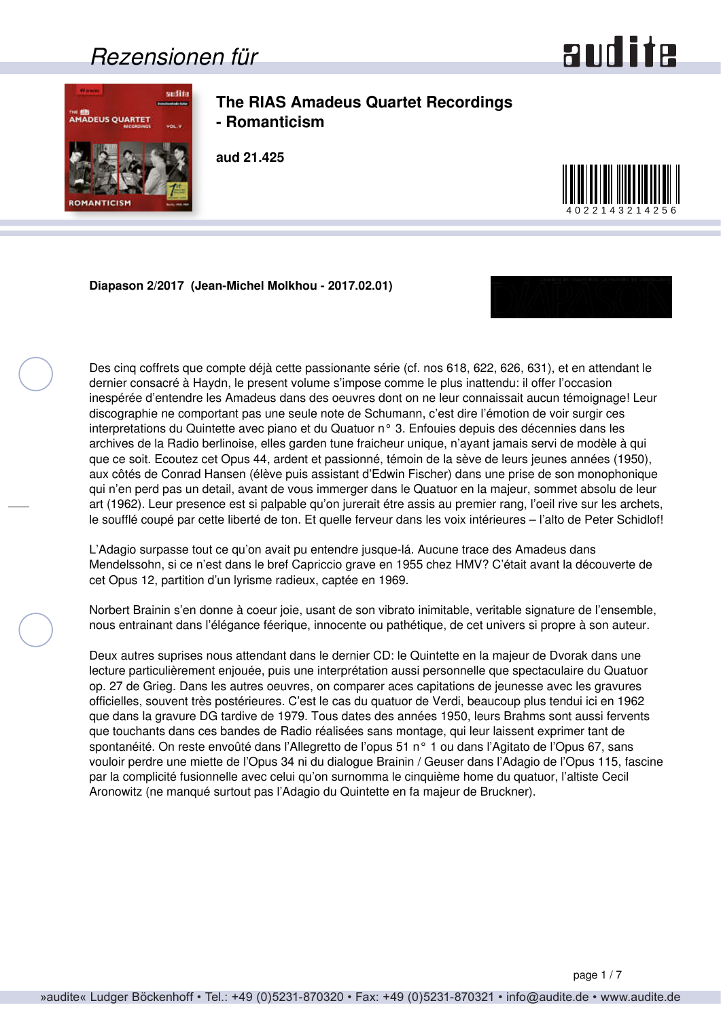### *Rezensionen für*



<span id="page-0-0"></span>

**The RIAS Amadeus Quartet Recordings - Romanticism**

**aud 21.425**



**Diapason 2/2017 (Jean-Michel Molkhou - 2017.02.01)**



Des cinq coffrets que compte déjà cette passionante série (cf. nos 618, 622, 626, 631), et en attendant le dernier consacré à Haydn, le present volume s'impose comme le plus inattendu: il offer l'occasion inespérée d'entendre les Amadeus dans des oeuvres dont on ne leur connaissait aucun témoignage! Leur discographie ne comportant pas une seule note de Schumann, c'est dire l'émotion de voir surgir ces interpretations du Quintette avec piano et du Quatuor n° 3. Enfouies depuis des décennies dans les archives de la Radio berlinoise, elles garden tune fraicheur unique, n'ayant jamais servi de modèle à qui que ce soit. Ecoutez cet Opus 44, ardent et passionné, témoin de la sève de leurs jeunes années (1950), aux côtés de Conrad Hansen (élève puis assistant d'Edwin Fischer) dans une prise de son monophonique qui n'en perd pas un detail, avant de vous immerger dans le Quatuor en la majeur, sommet absolu de leur art (1962). Leur presence est si palpable qu'on jurerait étre assis au premier rang, l'oeil rive sur les archets, le soufflé coupé par cette liberté de ton. Et quelle ferveur dans les voix intérieures – l'alto de Peter Schidlof!

L'Adagio surpasse tout ce qu'on avait pu entendre jusque-lá. Aucune trace des Amadeus dans Mendelssohn, si ce n'est dans le bref Capriccio grave en 1955 chez HMV? C'était avant la découverte de cet Opus 12, partition d'un lyrisme radieux, captée en 1969.

Norbert Brainin s'en donne à coeur joie, usant de son vibrato inimitable, veritable signature de l'ensemble, nous entrainant dans l'élégance féerique, innocente ou pathétique, de cet univers si propre à son auteur.

Deux autres suprises nous attendant dans le dernier CD: le Quintette en la majeur de Dvorak dans une lecture particulièrement enjouée, puis une interprétation aussi personnelle que spectaculaire du Quatuor op. 27 de Grieg. Dans les autres oeuvres, on comparer aces capitations de jeunesse avec les gravures officielles, souvent très postérieures. C'est le cas du quatuor de Verdi, beaucoup plus tendui ici en 1962 que dans la gravure DG tardive de 1979. Tous dates des années 1950, leurs Brahms sont aussi fervents que touchants dans ces bandes de Radio réalisées sans montage, qui leur laissent exprimer tant de spontanéité. On reste envoûté dans l'Allegretto de l'opus 51 n° 1 ou dans l'Agitato de l'Opus 67, sans vouloir perdre une miette de l'Opus 34 ni du dialogue Brainin / Geuser dans l'Adagio de l'Opus 115, fascine par la complicité fusionnelle avec celui qu'on surnomma le cinquième home du quatuor, l'altiste Cecil Aronowitz (ne manqué surtout pas l'Adagio du Quintette en fa majeur de Bruckner).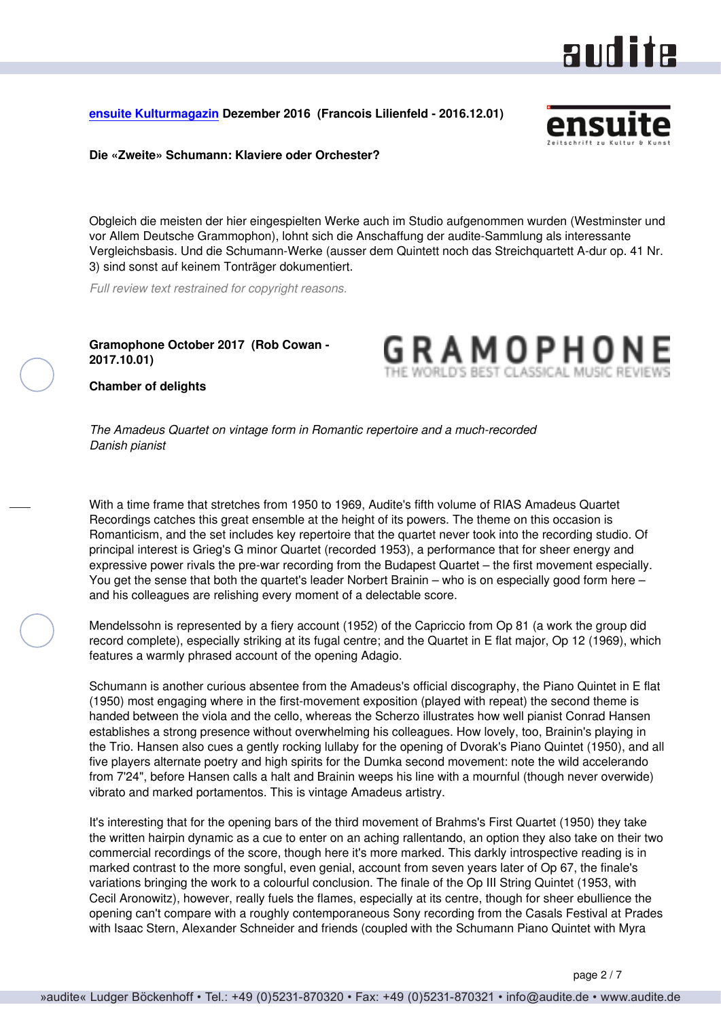### aud ite

#### <span id="page-1-0"></span>**[ensuite Kulturmagazin](http://www.ensuite.ch/) Dezember 2016 (Francois Lilienfeld - 2016.12.01)**



**Die «Zweite» Schumann: Klaviere oder Orchester?**

Obgleich die meisten der hier eingespielten Werke auch im Studio aufgenommen wurden (Westminster und vor Allem Deutsche Grammophon), lohnt sich die Anschaffung der audite-Sammlung als interessante Vergleichsbasis. Und die Schumann-Werke (ausser dem Quintett noch das Streichquartett A-dur op. 41 Nr. 3) sind sonst auf keinem Tonträger dokumentiert.

*Full review text restrained for copyright reasons.*

**Gramophone October 2017 (Rob Cowan - 2017.10.01)**

GRAMOPHO

**Chamber of delights**

*The Amadeus Quartet on vintage form in Romantic repertoire and a much-recorded Danish pianist*

With a time frame that stretches from 1950 to 1969, Audite's fifth volume of RIAS Amadeus Quartet Recordings catches this great ensemble at the height of its powers. The theme on this occasion is Romanticism, and the set includes key repertoire that the quartet never took into the recording studio. Of principal interest is Grieg's G minor Quartet (recorded 1953), a performance that for sheer energy and expressive power rivals the pre-war recording from the Budapest Quartet – the first movement especially. You get the sense that both the quartet's leader Norbert Brainin – who is on especially good form here – and his colleagues are relishing every moment of a delectable score.

Mendelssohn is represented by a fiery account (1952) of the Capriccio from Op 81 (a work the group did record complete), especially striking at its fugal centre; and the Quartet in E flat major, Op 12 (1969), which features a warmly phrased account of the opening Adagio.

Schumann is another curious absentee from the Amadeus's official discography, the Piano Quintet in E flat (1950) most engaging where in the first-movement exposition (played with repeat) the second theme is handed between the viola and the cello, whereas the Scherzo illustrates how well pianist Conrad Hansen establishes a strong presence without overwhelming his colleagues. How lovely, too, Brainin's playing in the Trio. Hansen also cues a gently rocking lullaby for the opening of Dvorak's Piano Quintet (1950), and all five players alternate poetry and high spirits for the Dumka second movement: note the wild accelerando from 7'24", before Hansen calls a halt and Brainin weeps his line with a mournful (though never overwide) vibrato and marked portamentos. This is vintage Amadeus artistry.

It's interesting that for the opening bars of the third movement of Brahms's First Quartet (1950) they take the written hairpin dynamic as a cue to enter on an aching rallentando, an option they also take on their two commercial recordings of the score, though here it's more marked. This darkly introspective reading is in marked contrast to the more songful, even genial, account from seven years later of Op 67, the finale's variations bringing the work to a colourful conclusion. The finale of the Op III String Quintet (1953, with Cecil Aronowitz), however, really fuels the flames, especially at its centre, though for sheer ebullience the opening can't compare with a roughly contemporaneous Sony recording from the Casals Festival at Prades with Isaac Stern, Alexander Schneider and friends (coupled with the Schumann Piano Quintet with Myra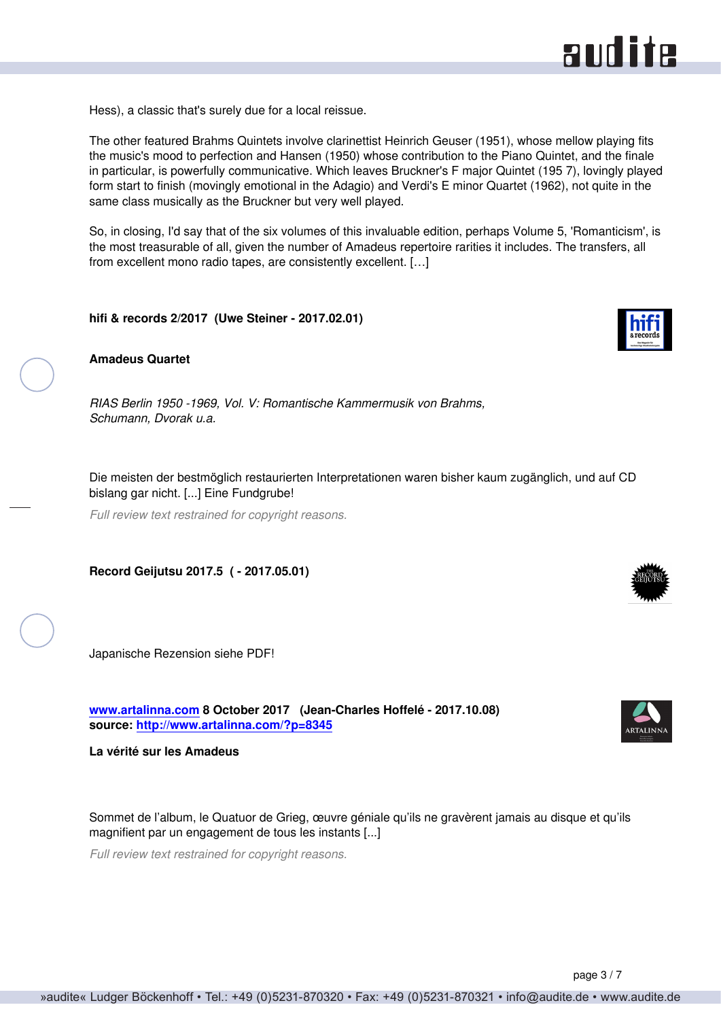<span id="page-2-0"></span>Hess), a classic that's surely due for a local reissue.

The other featured Brahms Quintets involve clarinettist Heinrich Geuser (1951), whose mellow playing fits the music's mood to perfection and Hansen (1950) whose contribution to the Piano Quintet, and the finale in particular, is powerfully communicative. Which leaves Bruckner's F major Quintet (195 7), lovingly played form start to finish (movingly emotional in the Adagio) and Verdi's E minor Quartet (1962), not quite in the same class musically as the Bruckner but very well played.

So, in closing, I'd say that of the six volumes of this invaluable edition, perhaps Volume 5, 'Romanticism', is the most treasurable of all, given the number of Amadeus repertoire rarities it includes. The transfers, all from excellent mono radio tapes, are consistently excellent. […]

**hifi & records 2/2017 (Uwe Steiner - 2017.02.01)**



*RIAS Berlin 1950 -1969, Vol. V: Romantische Kammermusik von Brahms, Schumann, Dvorak u.a.*

Die meisten der bestmöglich restaurierten Interpretationen waren bisher kaum zugänglich, und auf CD bislang gar nicht. [...] Eine Fundgrube!

*Full review text restrained for copyright reasons.*

**Record Geijutsu 2017.5 ( - 2017.05.01)**

Japanische Rezension siehe PDF!

**[www.artalinna.com](http://www.artalinna.com) 8 October 2017 (Jean-Charles Hoffelé - 2017.10.08) source: <http://www.artalinna.com/?p=8345>**

**La vérité sur les Amadeus**

Sommet de l'album, le Quatuor de Grieg, œuvre géniale qu'ils ne gravèrent jamais au disque et qu'ils magnifient par un engagement de tous les instants [...]

*Full review text restrained for copyright reasons.*





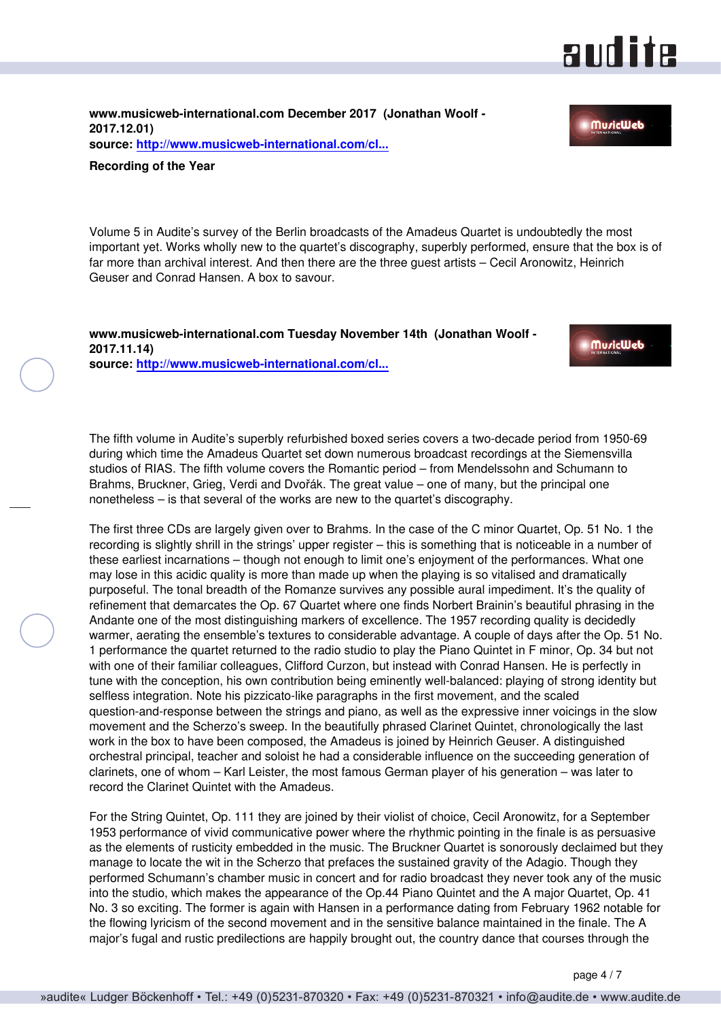### and ite

**MuricWeb** 

<span id="page-3-0"></span>**www.musicweb-international.com December 2017 (Jonathan Woolf - 2017.12.01) source: [http://www.musicweb-international.com/cl...](http://www.musicweb-international.com/classrev/2017/ROTY_2017.pdf)**

#### **Recording of the Year**

Volume 5 in Audite's survey of the Berlin broadcasts of the Amadeus Quartet is undoubtedly the most important yet. Works wholly new to the quartet's discography, superbly performed, ensure that the box is of far more than archival interest. And then there are the three guest artists – Cecil Aronowitz, Heinrich Geuser and Conrad Hansen. A box to savour.

**www.musicweb-international.com Tuesday November 14th (Jonathan Woolf - 2017.11.14) source: [http://www.musicweb-international.com/cl...](http://www.musicweb-international.com/classrev/2017/Nov/Amadeus_v5_21425.htm)**



The fifth volume in Audite's superbly refurbished boxed series covers a two-decade period from 1950-69 during which time the Amadeus Quartet set down numerous broadcast recordings at the Siemensvilla studios of RIAS. The fifth volume covers the Romantic period – from Mendelssohn and Schumann to Brahms, Bruckner, Grieg, Verdi and Dvořák. The great value – one of many, but the principal one nonetheless – is that several of the works are new to the quartet's discography.

The first three CDs are largely given over to Brahms. In the case of the C minor Quartet, Op. 51 No. 1 the recording is slightly shrill in the strings' upper register – this is something that is noticeable in a number of these earliest incarnations – though not enough to limit one's enjoyment of the performances. What one may lose in this acidic quality is more than made up when the playing is so vitalised and dramatically purposeful. The tonal breadth of the Romanze survives any possible aural impediment. It's the quality of refinement that demarcates the Op. 67 Quartet where one finds Norbert Brainin's beautiful phrasing in the Andante one of the most distinguishing markers of excellence. The 1957 recording quality is decidedly warmer, aerating the ensemble's textures to considerable advantage. A couple of days after the Op. 51 No. 1 performance the quartet returned to the radio studio to play the Piano Quintet in F minor, Op. 34 but not with one of their familiar colleagues, Clifford Curzon, but instead with Conrad Hansen. He is perfectly in tune with the conception, his own contribution being eminently well-balanced: playing of strong identity but selfless integration. Note his pizzicato-like paragraphs in the first movement, and the scaled question-and-response between the strings and piano, as well as the expressive inner voicings in the slow movement and the Scherzo's sweep. In the beautifully phrased Clarinet Quintet, chronologically the last work in the box to have been composed, the Amadeus is joined by Heinrich Geuser. A distinguished orchestral principal, teacher and soloist he had a considerable influence on the succeeding generation of clarinets, one of whom – Karl Leister, the most famous German player of his generation – was later to record the Clarinet Quintet with the Amadeus.

For the String Quintet, Op. 111 they are joined by their violist of choice, Cecil Aronowitz, for a September 1953 performance of vivid communicative power where the rhythmic pointing in the finale is as persuasive as the elements of rusticity embedded in the music. The Bruckner Quartet is sonorously declaimed but they manage to locate the wit in the Scherzo that prefaces the sustained gravity of the Adagio. Though they performed Schumann's chamber music in concert and for radio broadcast they never took any of the music into the studio, which makes the appearance of the Op.44 Piano Quintet and the A major Quartet, Op. 41 No. 3 so exciting. The former is again with Hansen in a performance dating from February 1962 notable for the flowing lyricism of the second movement and in the sensitive balance maintained in the finale. The A major's fugal and rustic predilections are happily brought out, the country dance that courses through the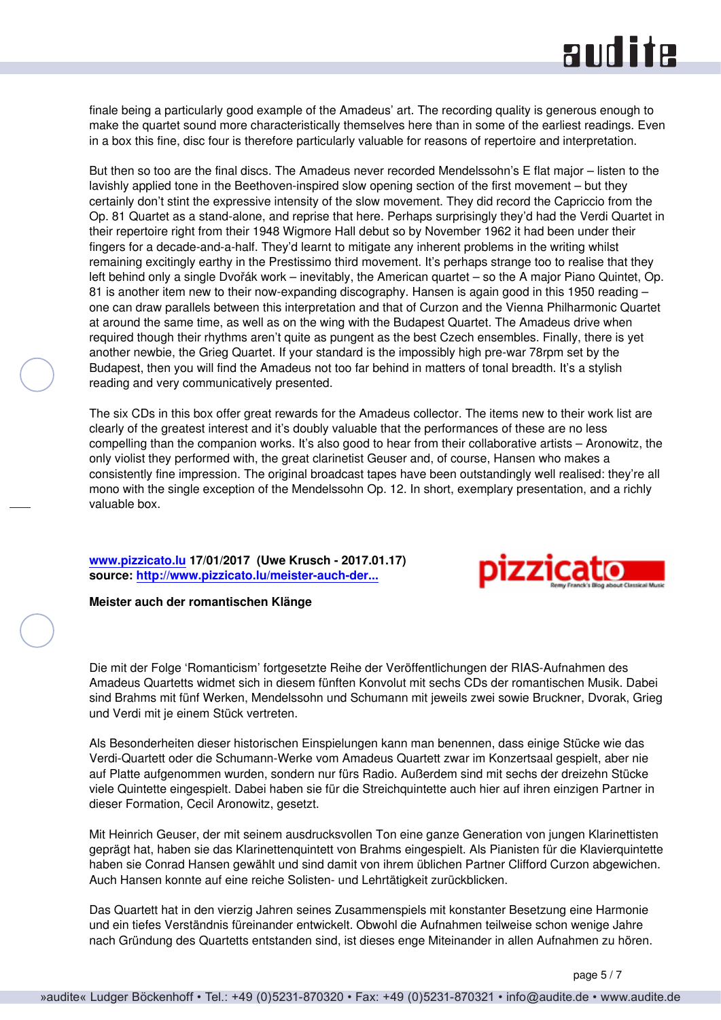## **RUD ite**

<span id="page-4-0"></span>finale being a particularly good example of the Amadeus' art. The recording quality is generous enough to make the quartet sound more characteristically themselves here than in some of the earliest readings. Even in a box this fine, disc four is therefore particularly valuable for reasons of repertoire and interpretation.

But then so too are the final discs. The Amadeus never recorded Mendelssohn's E flat major - listen to the lavishly applied tone in the Beethoven-inspired slow opening section of the first movement – but they certainly don't stint the expressive intensity of the slow movement. They did record the Capriccio from the Op. 81 Quartet as a stand-alone, and reprise that here. Perhaps surprisingly they'd had the Verdi Quartet in their repertoire right from their 1948 Wigmore Hall debut so by November 1962 it had been under their fingers for a decade-and-a-half. They'd learnt to mitigate any inherent problems in the writing whilst remaining excitingly earthy in the Prestissimo third movement. It's perhaps strange too to realise that they left behind only a single Dvořák work – inevitably, the American quartet – so the A major Piano Quintet, Op. 81 is another item new to their now-expanding discography. Hansen is again good in this 1950 reading – one can draw parallels between this interpretation and that of Curzon and the Vienna Philharmonic Quartet at around the same time, as well as on the wing with the Budapest Quartet. The Amadeus drive when required though their rhythms aren't quite as pungent as the best Czech ensembles. Finally, there is yet another newbie, the Grieg Quartet. If your standard is the impossibly high pre-war 78rpm set by the Budapest, then you will find the Amadeus not too far behind in matters of tonal breadth. It's a stylish reading and very communicatively presented.

The six CDs in this box offer great rewards for the Amadeus collector. The items new to their work list are clearly of the greatest interest and it's doubly valuable that the performances of these are no less compelling than the companion works. It's also good to hear from their collaborative artists – Aronowitz, the only violist they performed with, the great clarinetist Geuser and, of course, Hansen who makes a consistently fine impression. The original broadcast tapes have been outstandingly well realised: they're all mono with the single exception of the Mendelssohn Op. 12. In short, exemplary presentation, and a richly valuable box.

**[www.pizzicato.lu](http://www.pizzicato.lu) 17/01/2017 (Uwe Krusch - 2017.01.17) source: [http://www.pizzicato.lu/meister-auch-der...](http://www.pizzicato.lu/meister-auch-der-romantischen-klange/)**



#### **Meister auch der romantischen Klänge**

Die mit der Folge 'Romanticism' fortgesetzte Reihe der Veröffentlichungen der RIAS-Aufnahmen des Amadeus Quartetts widmet sich in diesem fünften Konvolut mit sechs CDs der romantischen Musik. Dabei sind Brahms mit fünf Werken, Mendelssohn und Schumann mit jeweils zwei sowie Bruckner, Dvorak, Grieg und Verdi mit je einem Stück vertreten.

Als Besonderheiten dieser historischen Einspielungen kann man benennen, dass einige Stücke wie das Verdi-Quartett oder die Schumann-Werke vom Amadeus Quartett zwar im Konzertsaal gespielt, aber nie auf Platte aufgenommen wurden, sondern nur fürs Radio. Außerdem sind mit sechs der dreizehn Stücke viele Quintette eingespielt. Dabei haben sie für die Streichquintette auch hier auf ihren einzigen Partner in dieser Formation, Cecil Aronowitz, gesetzt.

Mit Heinrich Geuser, der mit seinem ausdrucksvollen Ton eine ganze Generation von jungen Klarinettisten geprägt hat, haben sie das Klarinettenquintett von Brahms eingespielt. Als Pianisten für die Klavierquintette haben sie Conrad Hansen gewählt und sind damit von ihrem üblichen Partner Clifford Curzon abgewichen. Auch Hansen konnte auf eine reiche Solisten- und Lehrtätigkeit zurückblicken.

Das Quartett hat in den vierzig Jahren seines Zusammenspiels mit konstanter Besetzung eine Harmonie und ein tiefes Verständnis füreinander entwickelt. Obwohl die Aufnahmen teilweise schon wenige Jahre nach Gründung des Quartetts entstanden sind, ist dieses enge Miteinander in allen Aufnahmen zu hören.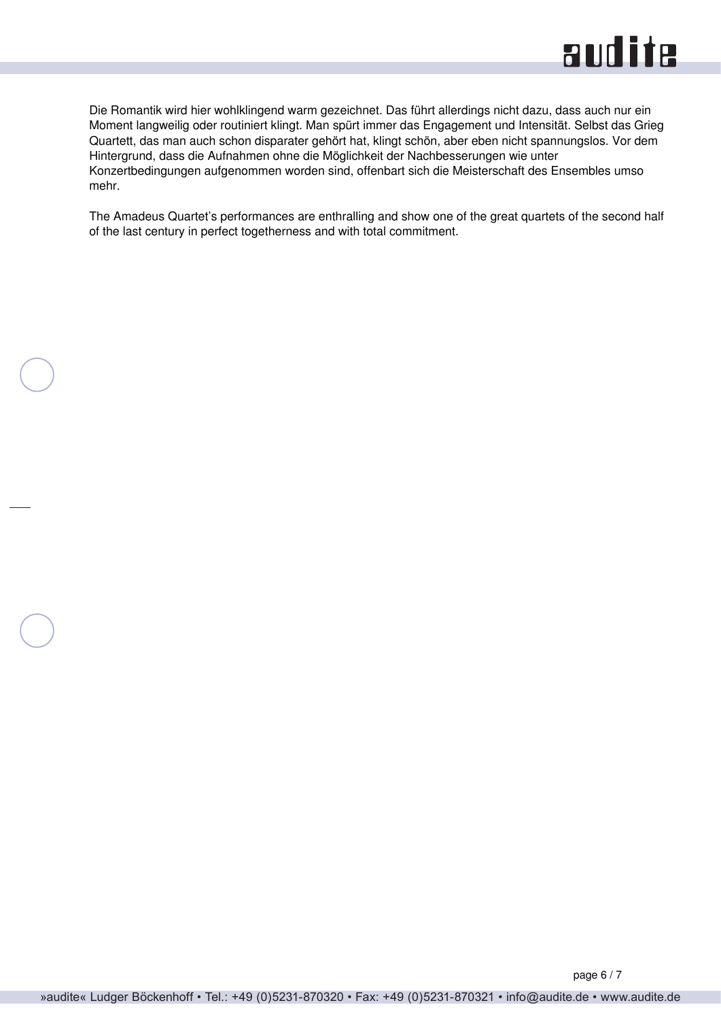

Die Romantik wird hier wohlklingend warm gezeichnet. Das führt allerdings nicht dazu, dass auch nur ein Moment langweilig oder routiniert klingt. Man spürt immer das Engagement und Intensität. Selbst das Grieg Quartett, das man auch schon disparater gehört hat, klingt schön, aber eben nicht spannungslos. Vor dem Hintergrund, dass die Aufnahmen ohne die Möglichkeit der Nachbesserungen wie unter Konzertbedingungen aufgenommen worden sind, offenbart sich die Meisterschaft des Ensembles umso mehr.

The Amadeus Quartet's performances are enthralling and show one of the great quartets of the second half of the last century in perfect togetherness and with total commitment.